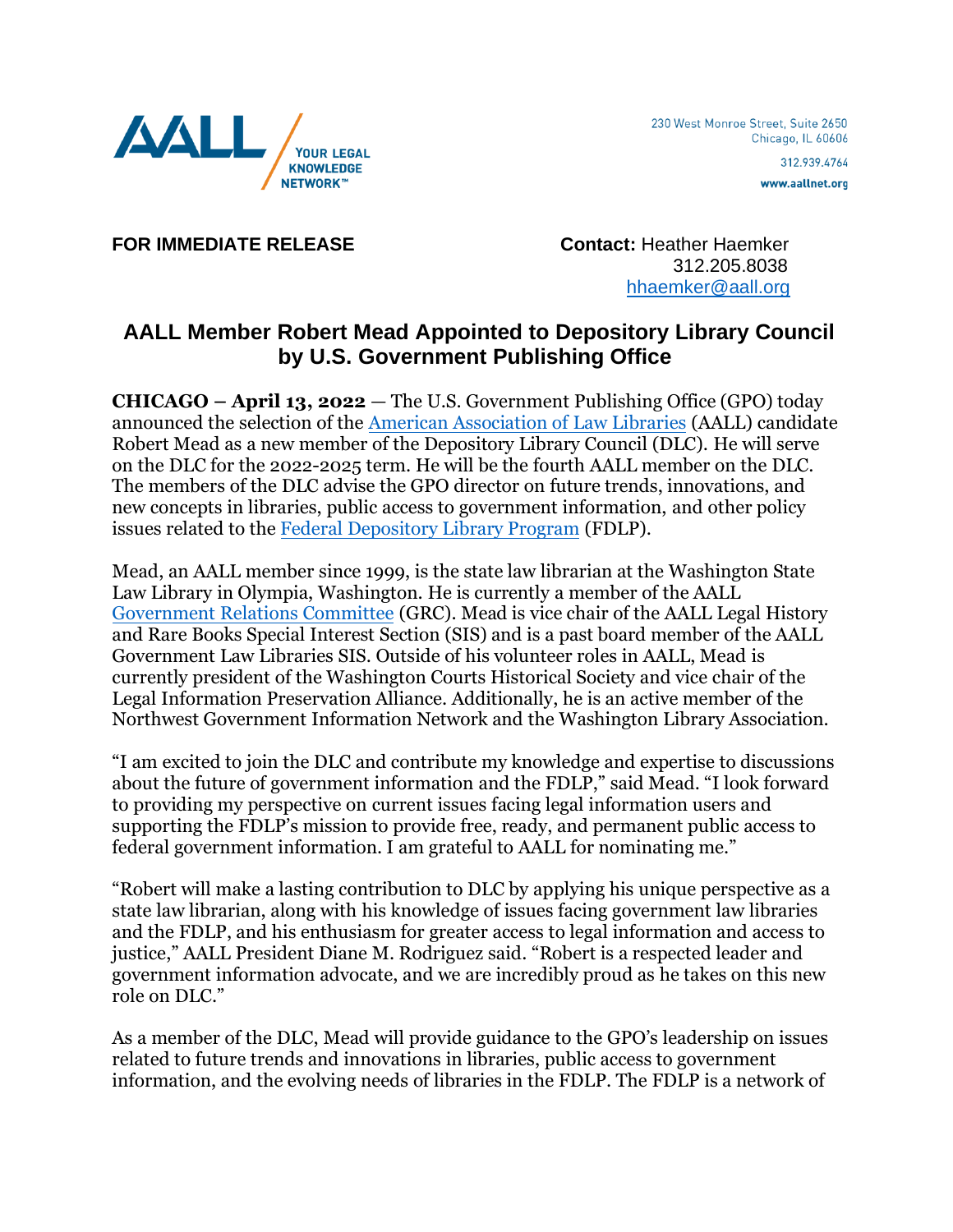

www.aallnet.org

**FOR IMMEDIATE RELEASE Contact:** Heather Haemker

 312.205.8038 [hhaemker@aall.org](mailto:hhaemker@aall.org)

## **AALL Member Robert Mead Appointed to Depository Library Council by U.S. Government Publishing Office**

**CHICAGO – April 13, 2022** — The U.S. Government Publishing Office (GPO) today announced the selection of the [American Association of Law Libraries](http://www.aallnet.org/) (AALL) candidate Robert Mead as a new member of the Depository Library Council (DLC). He will serve on the DLC for the 2022-2025 term. He will be the fourth AALL member on the DLC. The members of the DLC advise the GPO director on future trends, innovations, and new concepts in libraries, public access to government information, and other policy issues related to th[e Federal Depository Library Program](http://www.fdlp.gov/) (FDLP).

Mead, an AALL member since 1999, is the state law librarian at the Washington State Law Library in Olympia, Washington. He is currently a member of the AALL [Government Relations Committee](https://www.aallnet.org/about-us/who-we-are/committees-juries/government-relations-committee/) (GRC). Mead is vice chair of the AALL Legal History and Rare Books Special Interest Section (SIS) and is a past board member of the AALL Government Law Libraries SIS. Outside of his volunteer roles in AALL, Mead is currently president of the Washington Courts Historical Society and vice chair of the Legal Information Preservation Alliance. Additionally, he is an active member of the Northwest Government Information Network and the Washington Library Association.

"I am excited to join the DLC and contribute my knowledge and expertise to discussions about the future of government information and the FDLP," said Mead. "I look forward to providing my perspective on current issues facing legal information users and supporting the FDLP's mission to provide free, ready, and permanent public access to federal government information. I am grateful to AALL for nominating me."

"Robert will make a lasting contribution to DLC by applying his unique perspective as a state law librarian, along with his knowledge of issues facing government law libraries and the FDLP, and his enthusiasm for greater access to legal information and access to justice," AALL President Diane M. Rodriguez said. "Robert is a respected leader and government information advocate, and we are incredibly proud as he takes on this new role on DLC."

As a member of the DLC, Mead will provide guidance to the GPO's leadership on issues related to future trends and innovations in libraries, public access to government information, and the evolving needs of libraries in the FDLP. The FDLP is a network of